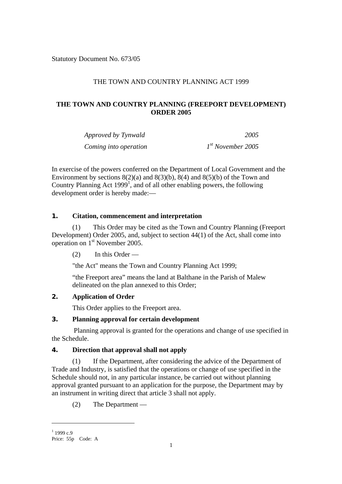Statutory Document No. 673/05

# THE TOWN AND COUNTRY PLANNING ACT 1999

# **THE TOWN AND COUNTRY PLANNING (FREEPORT DEVELOPMENT) ORDER 2005**

| Approved by Tynwald   | 2005                |
|-----------------------|---------------------|
| Coming into operation | $Ist$ November 2005 |

In exercise of the powers conferred on the Department of Local Government and the Environment by sections  $8(2)(a)$  and  $8(3)(b)$ ,  $8(4)$  and  $8(5)(b)$  of the Town and Country Planning Act [1](#page-0-0)999<sup>1</sup>, and of all other enabling powers, the following development order is hereby made:—

## **1. Citation, commencement and interpretation**

(1) This Order may be cited as the Town and Country Planning (Freeport Development) Order 2005, and, subject to section 44(1) of the Act, shall come into operation on 1st November 2005.

(2) In this Order —

"the Act" means the Town and Country Planning Act 1999;

"the Freeport area" means the land at Balthane in the Parish of Malew delineated on the plan annexed to this Order;

## **2. Application of Order**

This Order applies to the Freeport area.

## **3. Planning approval for certain development**

Planning approval is granted for the operations and change of use specified in the Schedule.

## **4. Direction that approval shall not apply**

(1) If the Department, after considering the advice of the Department of Trade and Industry, is satisfied that the operations or change of use specified in the Schedule should not, in any particular instance, be carried out without planning approval granted pursuant to an application for the purpose, the Department may by an instrument in writing direct that article 3 shall not apply.

(2) The Department —

 $\overline{a}$ 

<span id="page-0-0"></span> $1$  1999 c.9

Price: 55p Code: A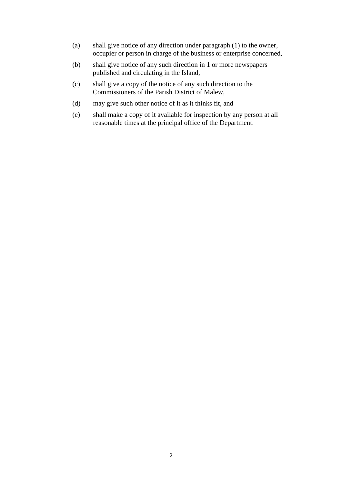- (a) shall give notice of any direction under paragraph (1) to the owner, occupier or person in charge of the business or enterprise concerned,
- (b) shall give notice of any such direction in 1 or more newspapers published and circulating in the Island,
- (c) shall give a copy of the notice of any such direction to the Commissioners of the Parish District of Malew,
- (d) may give such other notice of it as it thinks fit, and
- (e) shall make a copy of it available for inspection by any person at all reasonable times at the principal office of the Department.